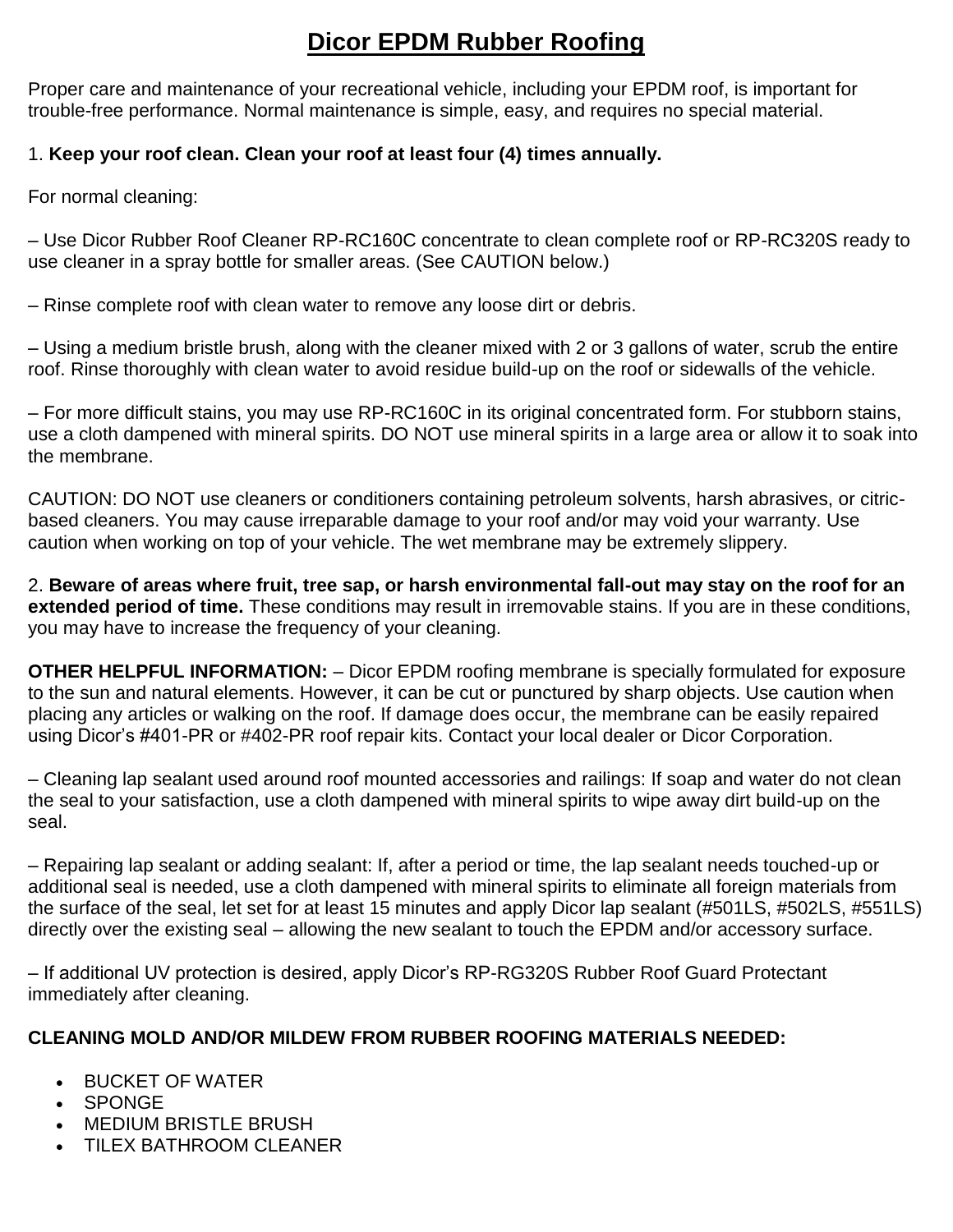# **Dicor EPDM Rubber Roofing**

Proper care and maintenance of your recreational vehicle, including your EPDM roof, is important for trouble-free performance. Normal maintenance is simple, easy, and requires no special material.

### 1. **Keep your roof clean. Clean your roof at least four (4) times annually.**

For normal cleaning:

– Use Dicor Rubber Roof Cleaner RP-RC160C concentrate to clean complete roof or RP-RC320S ready to use cleaner in a spray bottle for smaller areas. (See CAUTION below.)

– Rinse complete roof with clean water to remove any loose dirt or debris.

– Using a medium bristle brush, along with the cleaner mixed with 2 or 3 gallons of water, scrub the entire roof. Rinse thoroughly with clean water to avoid residue build-up on the roof or sidewalls of the vehicle.

– For more difficult stains, you may use RP-RC160C in its original concentrated form. For stubborn stains, use a cloth dampened with mineral spirits. DO NOT use mineral spirits in a large area or allow it to soak into the membrane.

CAUTION: DO NOT use cleaners or conditioners containing petroleum solvents, harsh abrasives, or citricbased cleaners. You may cause irreparable damage to your roof and/or may void your warranty. Use caution when working on top of your vehicle. The wet membrane may be extremely slippery.

2. **Beware of areas where fruit, tree sap, or harsh environmental fall-out may stay on the roof for an extended period of time.** These conditions may result in irremovable stains. If you are in these conditions, you may have to increase the frequency of your cleaning.

**OTHER HELPFUL INFORMATION:** – Dicor EPDM roofing membrane is specially formulated for exposure to the sun and natural elements. However, it can be cut or punctured by sharp objects. Use caution when placing any articles or walking on the roof. If damage does occur, the membrane can be easily repaired using Dicor's #401-PR or #402-PR roof repair kits. Contact your local dealer or Dicor Corporation.

– Cleaning lap sealant used around roof mounted accessories and railings: If soap and water do not clean the seal to your satisfaction, use a cloth dampened with mineral spirits to wipe away dirt build-up on the seal.

– Repairing lap sealant or adding sealant: If, after a period or time, the lap sealant needs touched-up or additional seal is needed, use a cloth dampened with mineral spirits to eliminate all foreign materials from the surface of the seal, let set for at least 15 minutes and apply Dicor lap sealant (#501LS, #502LS, #551LS) directly over the existing seal – allowing the new sealant to touch the EPDM and/or accessory surface.

– If additional UV protection is desired, apply Dicor's RP-RG320S Rubber Roof Guard Protectant immediately after cleaning.

### **CLEANING MOLD AND/OR MILDEW FROM RUBBER ROOFING MATERIALS NEEDED:**

- **BUCKET OF WATER**
- SPONGE
- MEDIUM BRISTLE BRUSH
- TILEX BATHROOM CLEANER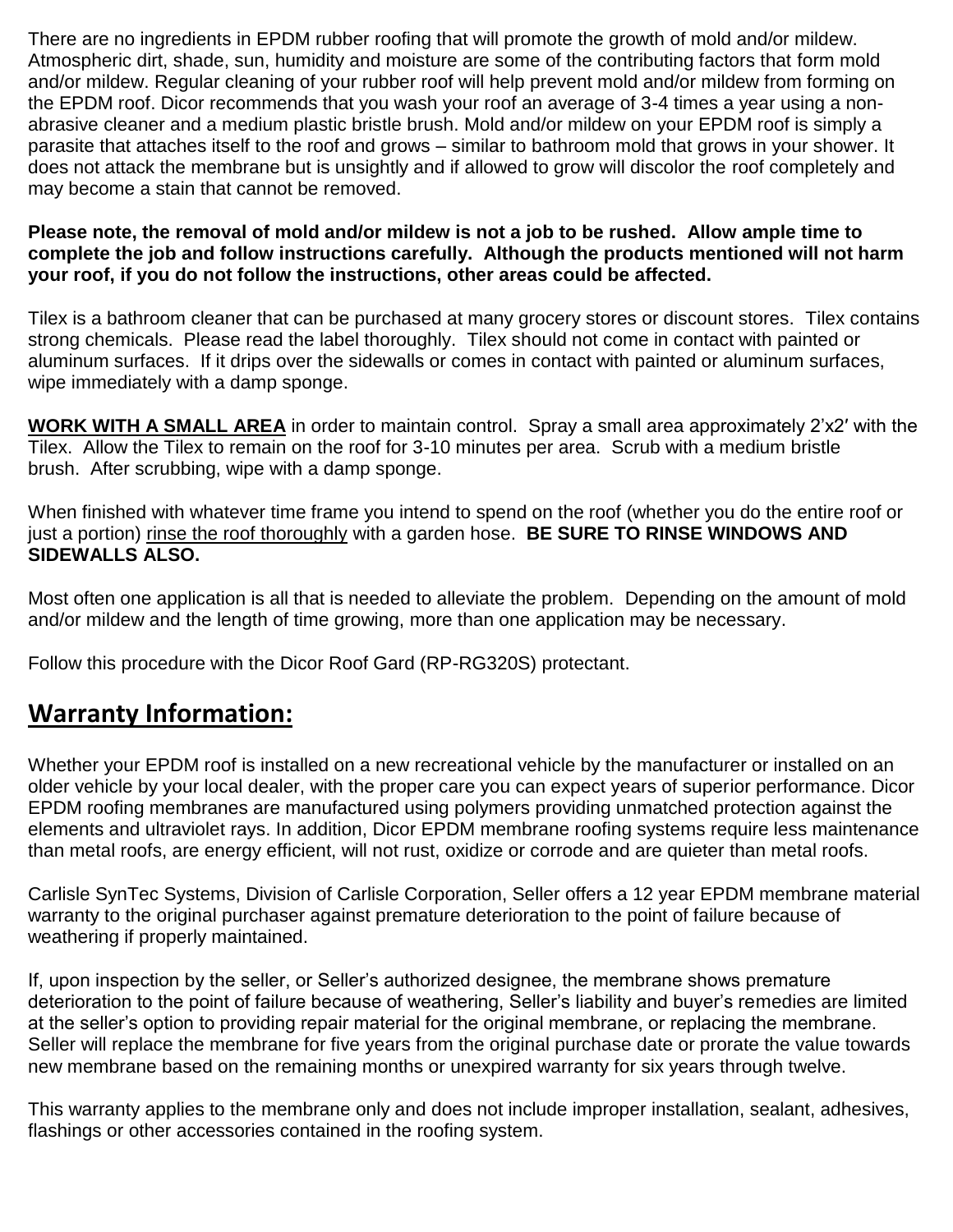There are no ingredients in EPDM rubber roofing that will promote the growth of mold and/or mildew. Atmospheric dirt, shade, sun, humidity and moisture are some of the contributing factors that form mold and/or mildew. Regular cleaning of your rubber roof will help prevent mold and/or mildew from forming on the EPDM roof. Dicor recommends that you wash your roof an average of 3-4 times a year using a nonabrasive cleaner and a medium plastic bristle brush. Mold and/or mildew on your EPDM roof is simply a parasite that attaches itself to the roof and grows – similar to bathroom mold that grows in your shower. It does not attack the membrane but is unsightly and if allowed to grow will discolor the roof completely and may become a stain that cannot be removed.

#### **Please note, the removal of mold and/or mildew is not a job to be rushed. Allow ample time to complete the job and follow instructions carefully. Although the products mentioned will not harm your roof, if you do not follow the instructions, other areas could be affected.**

Tilex is a bathroom cleaner that can be purchased at many grocery stores or discount stores. Tilex contains strong chemicals. Please read the label thoroughly. Tilex should not come in contact with painted or aluminum surfaces. If it drips over the sidewalls or comes in contact with painted or aluminum surfaces, wipe immediately with a damp sponge.

**WORK WITH A SMALL AREA** in order to maintain control. Spray a small area approximately 2'x2′ with the Tilex. Allow the Tilex to remain on the roof for 3-10 minutes per area. Scrub with a medium bristle brush. After scrubbing, wipe with a damp sponge.

When finished with whatever time frame you intend to spend on the roof (whether you do the entire roof or just a portion) rinse the roof thoroughly with a garden hose. **BE SURE TO RINSE WINDOWS AND SIDEWALLS ALSO.**

Most often one application is all that is needed to alleviate the problem. Depending on the amount of mold and/or mildew and the length of time growing, more than one application may be necessary.

Follow this procedure with the Dicor Roof Gard (RP-RG320S) protectant.

## **Warranty Information:**

Whether your EPDM roof is installed on a new recreational vehicle by the manufacturer or installed on an older vehicle by your local dealer, with the proper care you can expect years of superior performance. Dicor EPDM roofing membranes are manufactured using polymers providing unmatched protection against the elements and ultraviolet rays. In addition, Dicor EPDM membrane roofing systems require less maintenance than metal roofs, are energy efficient, will not rust, oxidize or corrode and are quieter than metal roofs.

Carlisle SynTec Systems, Division of Carlisle Corporation, Seller offers a 12 year EPDM membrane material warranty to the original purchaser against premature deterioration to the point of failure because of weathering if properly maintained.

If, upon inspection by the seller, or Seller's authorized designee, the membrane shows premature deterioration to the point of failure because of weathering, Seller's liability and buyer's remedies are limited at the seller's option to providing repair material for the original membrane, or replacing the membrane. Seller will replace the membrane for five years from the original purchase date or prorate the value towards new membrane based on the remaining months or unexpired warranty for six years through twelve.

This warranty applies to the membrane only and does not include improper installation, sealant, adhesives, flashings or other accessories contained in the roofing system.